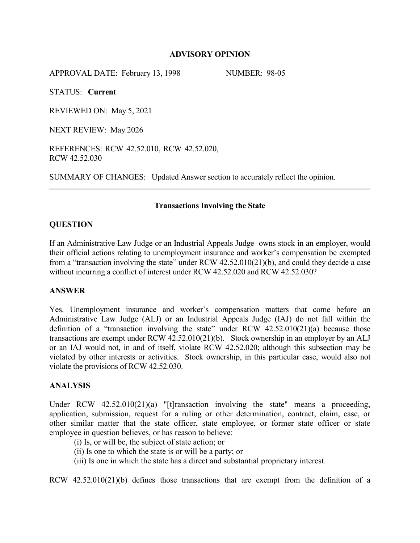## **ADVISORY OPINION**

APPROVAL DATE: February 13, 1998 NUMBER: 98-05

STATUS: **Current**

REVIEWED ON: May 5, 2021

NEXT REVIEW: May 2026

REFERENCES: RCW 42.52.010, RCW 42.52.020, RCW 42.52.030

SUMMARY OF CHANGES: Updated Answer section to accurately reflect the opinion.

## **Transactions Involving the State**

## **QUESTION**

If an Administrative Law Judge or an Industrial Appeals Judge owns stock in an employer, would their official actions relating to unemployment insurance and worker's compensation be exempted from a "transaction involving the state" under RCW 42.52.010(21)(b), and could they decide a case without incurring a conflict of interest under RCW 42.52.020 and RCW 42.52.030?

# **ANSWER**

Yes. Unemployment insurance and worker's compensation matters that come before an Administrative Law Judge (ALJ) or an Industrial Appeals Judge (IAJ) do not fall within the definition of a "transaction involving the state" under RCW  $42.52.010(21)(a)$  because those transactions are exempt under RCW 42.52.010(21)(b). Stock ownership in an employer by an ALJ or an IAJ would not, in and of itself, violate RCW 42.52.020; although this subsection may be violated by other interests or activities. Stock ownership, in this particular case, would also not violate the provisions of RCW 42.52.030.

### **ANALYSIS**

Under RCW 42.52.010(21)(a) "[t]ransaction involving the state" means a proceeding, application, submission, request for a ruling or other determination, contract, claim, case, or other similar matter that the state officer, state employee, or former state officer or state employee in question believes, or has reason to believe:

(i) Is, or will be, the subject of state action; or

(ii) Is one to which the state is or will be a party; or

(iii) Is one in which the state has a direct and substantial proprietary interest.

RCW 42.52.010(21)(b) defines those transactions that are exempt from the definition of a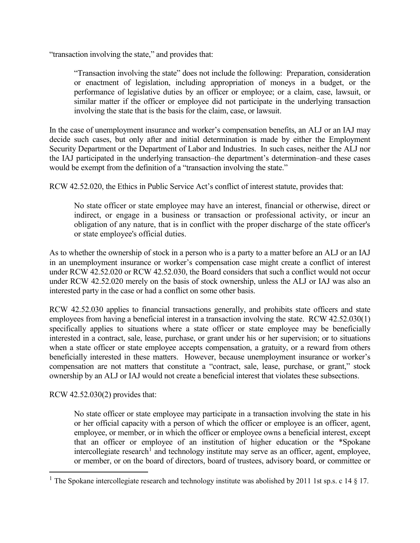"transaction involving the state," and provides that:

"Transaction involving the state" does not include the following: Preparation, consideration or enactment of legislation, including appropriation of moneys in a budget, or the performance of legislative duties by an officer or employee; or a claim, case, lawsuit, or similar matter if the officer or employee did not participate in the underlying transaction involving the state that is the basis for the claim, case, or lawsuit.

In the case of unemployment insurance and worker's compensation benefits, an ALJ or an IAJ may decide such cases, but only after and initial determination is made by either the Employment Security Department or the Department of Labor and Industries. In such cases, neither the ALJ nor the IAJ participated in the underlying transaction–the department's determination–and these cases would be exempt from the definition of a "transaction involving the state."

RCW 42.52.020, the Ethics in Public Service Act's conflict of interest statute, provides that:

No state officer or state employee may have an interest, financial or otherwise, direct or indirect, or engage in a business or transaction or professional activity, or incur an obligation of any nature, that is in conflict with the proper discharge of the state officer's or state employee's official duties.

As to whether the ownership of stock in a person who is a party to a matter before an ALJ or an IAJ in an unemployment insurance or worker's compensation case might create a conflict of interest under RCW 42.52.020 or RCW 42.52.030, the Board considers that such a conflict would not occur under RCW 42.52.020 merely on the basis of stock ownership, unless the ALJ or IAJ was also an interested party in the case or had a conflict on some other basis.

RCW 42.52.030 applies to financial transactions generally, and prohibits state officers and state employees from having a beneficial interest in a transaction involving the state. RCW 42.52.030(1) specifically applies to situations where a state officer or state employee may be beneficially interested in a contract, sale, lease, purchase, or grant under his or her supervision; or to situations when a state officer or state employee accepts compensation, a gratuity, or a reward from others beneficially interested in these matters. However, because unemployment insurance or worker's compensation are not matters that constitute a "contract, sale, lease, purchase, or grant," stock ownership by an ALJ or IAJ would not create a beneficial interest that violates these subsections.

RCW 42.52.030(2) provides that:

 $\overline{a}$ 

No state officer or state employee may participate in a transaction involving the state in his or her official capacity with a person of which the officer or employee is an officer, agent, employee, or member, or in which the officer or employee owns a beneficial interest, except that an officer or employee of an institution of higher education or the \*Spokane  $intercollective research<sup>1</sup>$  $intercollective research<sup>1</sup>$  $intercollective research<sup>1</sup>$  and technology institute may serve as an officer, agent, employee, or member, or on the board of directors, board of trustees, advisory board, or committee or

<span id="page-1-0"></span><sup>&</sup>lt;sup>1</sup> The Spokane intercollegiate research and technology institute was abolished by 2011 1st sp.s. c 14  $\S$  17.